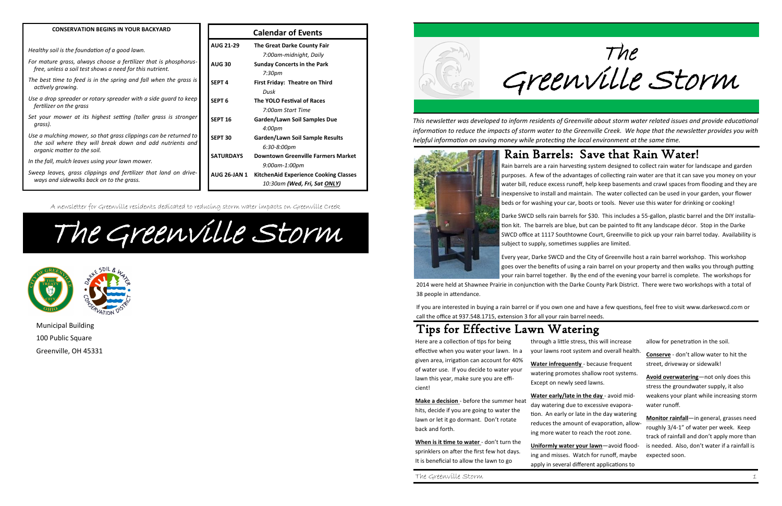The Greenville Storm

*This newsletter was developed to inform residents of Greenville about storm water related issues and provide educational information to reduce the impacts of storm water to the Greenville Creek. We hope that the newsletter provides you with helpful information on saving money while protecting the local environment at the same time.*



The Greenville Storm 1

**Make a decision** - before the summer heat hits, decide if you are going to water the lawn or let it go dormant. Don't rotate back and forth.

## Tips for Effective Lawn Watering

When is it time to water - don't turn the sprinklers on after the first few hot days. It is beneficial to allow the lawn to go

Here are a collection of tips for being effective when you water your lawn. In a given area, irrigation can account for 40% of water use. If you decide to water your lawn this year, make sure you are efficient!

through a little stress, this will increase your lawns root system and overall health.

**Water infrequently** - because frequent watering promotes shallow root systems. Except on newly seed lawns.

**Water early/late in the day** - avoid midday watering due to excessive evaporation. An early or late in the day watering reduces the amount of evaporation, allowing more water to reach the root zone.

**Uniformly water your lawn**—avoid flood-

ing and misses. Watch for runoff, maybe apply in several different applications to

allow for penetration in the soil.

**Conserve** - don't allow water to hit the street, driveway or sidewalk!

**Avoid overwatering**—not only does this stress the groundwater supply, it also weakens your plant while increasing storm water runoff.

**Monitor rainfall**—in general, grasses need roughly 3/4-1" of water per week. Keep track of rainfall and don't apply more than is needed. Also, don't water if a rainfall is expected soon.

#### Rain Barrels: Save that Rain Water!

Rain barrels are a rain harvesting system designed to collect rain water for landscape and garden purposes. A few of the advantages of collecting rain water are that it can save you money on your water bill, reduce excess runoff, help keep basements and crawl spaces from flooding and they are inexpensive to install and maintain. The water collected can be used in your garden, your flower beds or for washing your car, boots or tools. Never use this water for drinking or cooking!

Darke SWCD sells rain barrels for \$30. This includes a 55-gallon, plastic barrel and the DIY installation kit. The barrels are blue, but can be painted to fit any landscape décor. Stop in the Darke SWCD office at 1117 Southtowne Court, Greenville to pick up your rain barrel today. Availability is subject to supply, sometimes supplies are limited.

Every year, Darke SWCD and the City of Greenville host a rain barrel workshop. This workshop goes over the benefits of using a rain barrel on your property and then walks you through putting your rain barrel together. By the end of the evening your barrel is complete. The workshops for 2014 were held at Shawnee Prairie in conjunction with the Darke County Park District. There were two workshops with a total of

38 people in attendance.

If you are interested in buying a rain barrel or if you own one and have a few questions, feel free to visit www.darkeswcd.com or call the office at 937.548.1715, extension 3 for all your rain barrel needs.

**Calendar of Events**

| <b>AUG 21-29</b>    | <b>The Great Darke County Fair</b>           |
|---------------------|----------------------------------------------|
|                     | 7:00am-midnight, Daily                       |
| <b>AUG 30</b>       | <b>Sunday Concerts in the Park</b>           |
|                     | 7:30pm                                       |
| <b>SEPT4</b>        | <b>First Friday: Theatre on Third</b>        |
|                     | Dusk                                         |
| SEPT <sub>6</sub>   | <b>The YOLO Festival of Races</b>            |
|                     | 7:00am Start Time                            |
| <b>SEPT 16</b>      | Garden/Lawn Soil Samples Due                 |
|                     | 4:00pm                                       |
| <b>SEPT 30</b>      | <b>Garden/Lawn Soil Sample Results</b>       |
|                     | 6:30-8:00pm                                  |
| <b>SATURDAYS</b>    | <b>Downtown Greenville Farmers Market</b>    |
|                     | 9:00am-1:00pm                                |
| <b>AUG 26-JAN 1</b> | <b>KitchenAid Experience Cooking Classes</b> |
|                     | 10:30am (Wed, Fri, Sat ONLY)                 |

The Greenville Storm



A newsletter for Greenville residents dedicated to reducing storm water impacts on Greenville Creek

Municipal Building 100 Public Square Greenville, OH 45331



#### **CONSERVATION BEGINS IN YOUR BACKYARD**

*Healthy soil is the foundation of a good lawn.*

- *For mature grass, always choose a fertilizer that is phosphorusfree, unless a soil test shows a need for this nutrient.*
- *The best time to feed is in the spring and fall when the grass is actively growing.*
- *Use a drop spreader or rotary spreader with a side guard to keep fertilizer on the grass*
- *Set your mower at its highest setting (taller grass is stronger grass).*
- *Use a mulching mower, so that grass clippings can be returned to the soil where they will break down and add nutrients and organic matter to the soil.*
- *In the fall, mulch leaves using your lawn mower.*
- *Sweep leaves, grass clippings and fertilizer that land on driveways and sidewalks back on to the grass.*